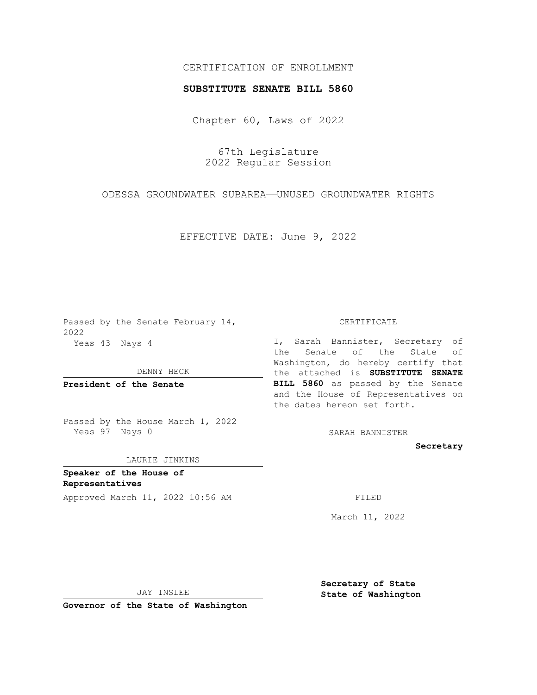## CERTIFICATION OF ENROLLMENT

## **SUBSTITUTE SENATE BILL 5860**

Chapter 60, Laws of 2022

67th Legislature 2022 Regular Session

ODESSA GROUNDWATER SUBAREA—UNUSED GROUNDWATER RIGHTS

EFFECTIVE DATE: June 9, 2022

Passed by the Senate February 14, 2022 Yeas 43 Nays 4

DENNY HECK

**President of the Senate**

Passed by the House March 1, 2022 Yeas 97 Nays 0

LAURIE JINKINS

**Speaker of the House of Representatives**

Approved March 11, 2022 10:56 AM FILED

CERTIFICATE

I, Sarah Bannister, Secretary of the Senate of the State of Washington, do hereby certify that the attached is **SUBSTITUTE SENATE BILL 5860** as passed by the Senate and the House of Representatives on the dates hereon set forth.

SARAH BANNISTER

**Secretary**

March 11, 2022

JAY INSLEE

**Governor of the State of Washington**

**Secretary of State State of Washington**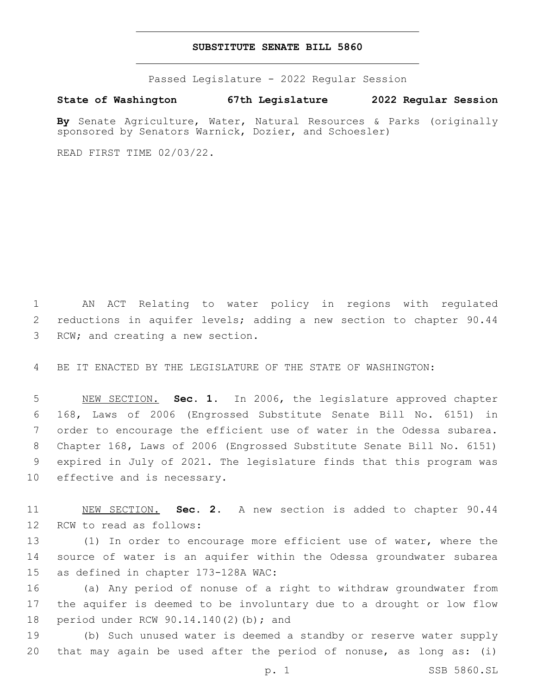## **SUBSTITUTE SENATE BILL 5860**

Passed Legislature - 2022 Regular Session

**State of Washington 67th Legislature 2022 Regular Session**

**By** Senate Agriculture, Water, Natural Resources & Parks (originally sponsored by Senators Warnick, Dozier, and Schoesler)

READ FIRST TIME 02/03/22.

1 AN ACT Relating to water policy in regions with regulated 2 reductions in aquifer levels; adding a new section to chapter 90.44 3 RCW; and creating a new section.

4 BE IT ENACTED BY THE LEGISLATURE OF THE STATE OF WASHINGTON:

 NEW SECTION. **Sec. 1.** In 2006, the legislature approved chapter 168, Laws of 2006 (Engrossed Substitute Senate Bill No. 6151) in order to encourage the efficient use of water in the Odessa subarea. Chapter 168, Laws of 2006 (Engrossed Substitute Senate Bill No. 6151) expired in July of 2021. The legislature finds that this program was effective and is necessary.

11 NEW SECTION. **Sec. 2.** A new section is added to chapter 90.44 12 RCW to read as follows:

13 (1) In order to encourage more efficient use of water, where the 14 source of water is an aquifer within the Odessa groundwater subarea 15 as defined in chapter 173-128A WAC:

16 (a) Any period of nonuse of a right to withdraw groundwater from 17 the aquifer is deemed to be involuntary due to a drought or low flow 18 period under RCW 90.14.140(2)(b); and

19 (b) Such unused water is deemed a standby or reserve water supply 20 that may again be used after the period of nonuse, as long as: (i)

p. 1 SSB 5860.SL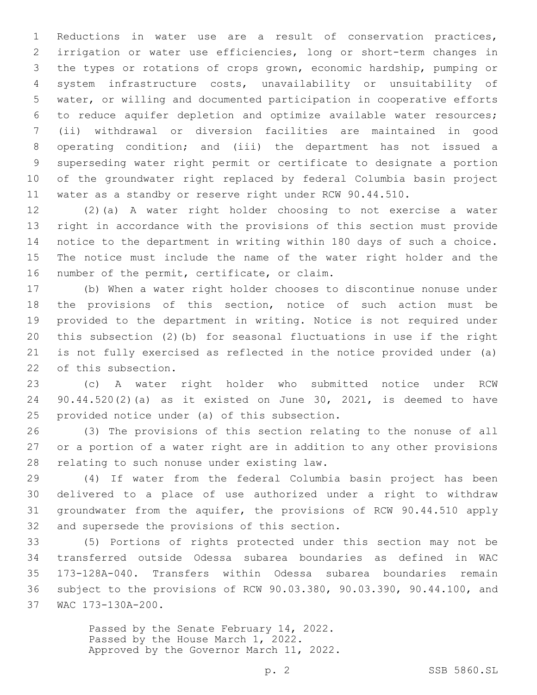Reductions in water use are a result of conservation practices, irrigation or water use efficiencies, long or short-term changes in the types or rotations of crops grown, economic hardship, pumping or system infrastructure costs, unavailability or unsuitability of water, or willing and documented participation in cooperative efforts to reduce aquifer depletion and optimize available water resources; (ii) withdrawal or diversion facilities are maintained in good operating condition; and (iii) the department has not issued a superseding water right permit or certificate to designate a portion of the groundwater right replaced by federal Columbia basin project water as a standby or reserve right under RCW 90.44.510.

 (2)(a) A water right holder choosing to not exercise a water right in accordance with the provisions of this section must provide notice to the department in writing within 180 days of such a choice. The notice must include the name of the water right holder and the 16 number of the permit, certificate, or claim.

 (b) When a water right holder chooses to discontinue nonuse under the provisions of this section, notice of such action must be provided to the department in writing. Notice is not required under this subsection (2)(b) for seasonal fluctuations in use if the right is not fully exercised as reflected in the notice provided under (a) 22 of this subsection.

 (c) A water right holder who submitted notice under RCW 90.44.520(2)(a) as it existed on June 30, 2021, is deemed to have 25 provided notice under (a) of this subsection.

 (3) The provisions of this section relating to the nonuse of all or a portion of a water right are in addition to any other provisions 28 relating to such nonuse under existing law.

 (4) If water from the federal Columbia basin project has been delivered to a place of use authorized under a right to withdraw groundwater from the aquifer, the provisions of RCW 90.44.510 apply 32 and supersede the provisions of this section.

 (5) Portions of rights protected under this section may not be transferred outside Odessa subarea boundaries as defined in WAC 173-128A-040. Transfers within Odessa subarea boundaries remain subject to the provisions of RCW 90.03.380, 90.03.390, 90.44.100, and 37 WAC 173-130A-200.

> Passed by the Senate February 14, 2022. Passed by the House March 1, 2022. Approved by the Governor March 11, 2022.